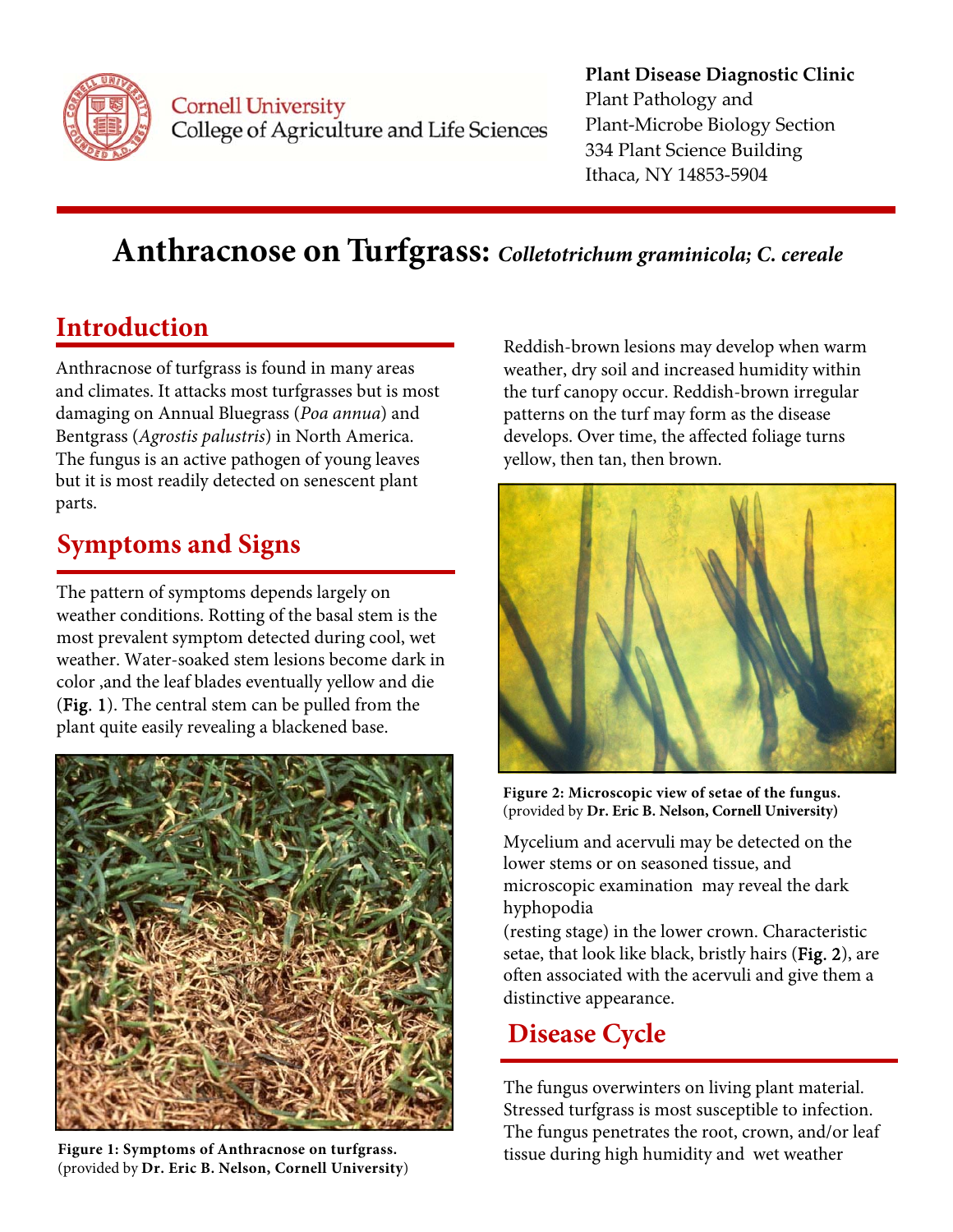

Cornell University College of Agriculture and Life Sciences

#### **Plant Disease Diagnostic Clinic** Plant Pathology and Plant‐Microbe Biology Section 334 Plant Science Building Ithaca, NY 14853‐5904

# **Anthracnose on Turfgrass:** *Colletotrichum graminicola; C. cereale*

### **Introduction**

Anthracnose of turfgrass is found in many areas and climates. It attacks most turfgrasses but is most damaging on Annual Bluegrass (*Poa annua*) and Bentgrass (*Agrostis palustris*) in North America. The fungus is an active pathogen of young leaves but it is most readily detected on senescent plant parts.

## **Symptoms and Signs**

The pattern of symptoms depends largely on weather conditions. Rotting of the basal stem is the most prevalent symptom detected during cool, wet weather. Water-soaked stem lesions become dark in color ,and the leaf blades eventually yellow and die (Fig. 1). The central stem can be pulled from the plant quite easily revealing a blackened base.



**Figure 1: Symptoms of Anthracnose on turfgrass.**  (provided by **Dr. Eric B. Nelson, Cornell University**)

 patterns on the turf may form as the disease Reddish-brown lesions may develop when warm weather, dry soil and increased humidity within the turf canopy occur. Reddish-brown irregular develops. Over time, the affected foliage turns yellow, then tan, then brown.



**Figure 2: Microscopic view of setae of the fungus.**  (provided by **Dr. Eric B. Nelson, Cornell University)** 

Mycelium and acervuli may be detected on the lower stems or on seasoned tissue, and microscopic examination may reveal the dark hyphopodia

(resting stage) in the lower crown. Characteristic setae, that look like black, bristly hairs (Fig. 2), are often associated with the acervuli and give them a distinctive appearance.

### **Disease Cycle**

 The fungus overwinters on living plant material. Stressed turfgrass is most susceptible to infection. The fungus penetrates the root, crown, and/or leaf tissue during high humidity and wet weather